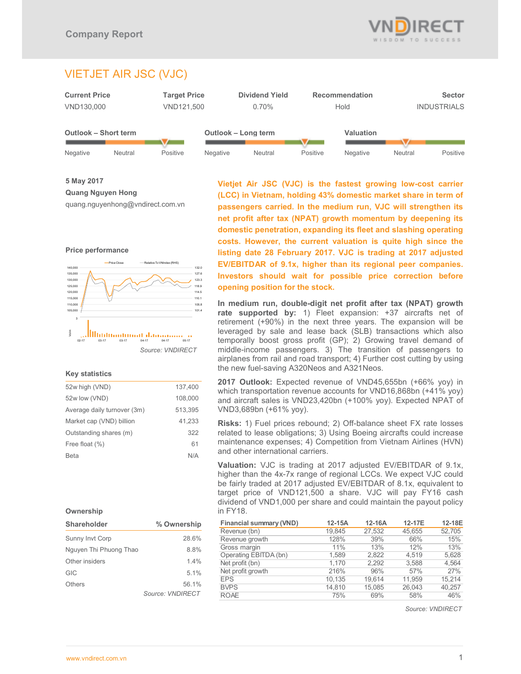

# VIETJET AIR JSC (VJC)



**5 May 2017 Quang Nguyen Hong** 

quang.nguyenhong@vndirect.com.vn





# **Key statistics**

| 52w high (VND)              | 137.400 |
|-----------------------------|---------|
| 52w low (VND)               | 108,000 |
| Average daily turnover (3m) | 513,395 |
| Market cap (VND) billion    | 41,233  |
| Outstanding shares (m)      | 322     |
| Free float (%)              | 61      |
| Beta                        | N/A     |
|                             |         |

# **Ownership**

| Shareholder            | % Ownership      |
|------------------------|------------------|
| <b>Sunny Invt Corp</b> | 28.6%            |
| Nguyen Thi Phuong Thao | 8.8%             |
| Other insiders         | 14%              |
| GIC                    | 51%              |
| Others                 | 56.1%            |
|                        | Source: VNDIRECT |

**Vietjet Air JSC (VJC) is the fastest growing low-cost carrier (LCC) in Vietnam, holding 43% domestic market share in term of passengers carried. In the medium run, VJC will strengthen its net profit after tax (NPAT) growth momentum by deepening its domestic penetration, expanding its fleet and slashing operating costs. However, the current valuation is quite high since the listing date 28 February 2017. VJC is trading at 2017 adjusted EV/EBITDAR of 9.1x, higher than its regional peer companies. Investors should wait for possible price correction before opening position for the stock.** 

**In medium run, double-digit net profit after tax (NPAT) growth rate supported by:** 1) Fleet expansion: +37 aircrafts net of retirement (+90%) in the next three years. The expansion will be leveraged by sale and lease back (SLB) transactions which also temporally boost gross profit (GP); 2) Growing travel demand of middle-income passengers. 3) The transition of passengers to airplanes from rail and road transport; 4) Further cost cutting by using the new fuel-saving A320Neos and A321Neos.

**2017 Outlook:** Expected revenue of VND45,655bn (+66% yoy) in which transportation revenue accounts for VND16,868bn (+41% yoy) and aircraft sales is VND23,420bn (+100% yoy). Expected NPAT of VND3,689bn (+61% yoy).

**Risks:** 1) Fuel prices rebound; 2) Off-balance sheet FX rate losses related to lease obligations; 3) Using Boeing aircrafts could increase maintenance expenses; 4) Competition from Vietnam Airlines (HVN) and other international carriers.

**Valuation:** VJC is trading at 2017 adjusted EV/EBITDAR of 9.1x, higher than the 4x-7x range of regional LCCs. We expect VJC could be fairly traded at 2017 adjusted EV/EBITDAR of 8.1x, equivalent to target price of VND121,500 a share. VJC will pay FY16 cash dividend of VND1,000 per share and could maintain the payout policy in FY18.

| <b>Financial summary (VND)</b> | $12-15A$ | 12-16A | 12-17E | 12-18E |
|--------------------------------|----------|--------|--------|--------|
| Revenue (bn)                   | 19,845   | 27,532 | 45,655 | 52,705 |
| Revenue growth                 | 128%     | 39%    | 66%    | 15%    |
| Gross margin                   | 11%      | 13%    | 12%    | 13%    |
| Operating EBITDA (bn)          | 1.589    | 2.822  | 4.519  | 5,628  |
| Net profit (bn)                | 1.170    | 2.292  | 3,588  | 4,564  |
| Net profit growth              | 216%     | 96%    | 57%    | 27%    |
| <b>EPS</b>                     | 10,135   | 19.614 | 11.959 | 15,214 |
| <b>BVPS</b>                    | 14,810   | 15.085 | 26.043 | 40,257 |
| <b>ROAE</b>                    | 75%      | 69%    | 58%    | 46%    |

*Source: VNDIRECT*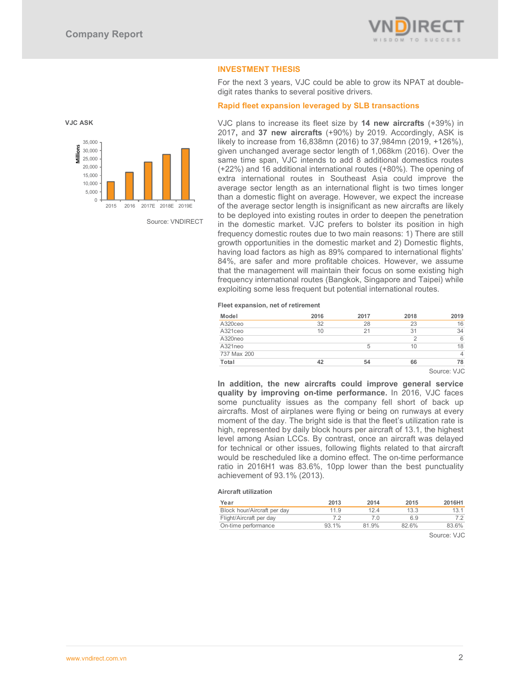**VJC ASK** 

 $\Omega$ 5,000 10,000



# **INVESTMENT THESIS**

For the next 3 years, VJC could be able to grow its NPAT at doubledigit rates thanks to several positive drivers.

# **Rapid fleet expansion leveraged by SLB transactions**

VJC plans to increase its fleet size by **14 new aircrafts** (+39%) in 2017**,** and **37 new aircrafts** (+90%) by 2019. Accordingly, ASK is likely to increase from 16,838mn (2016) to 37,984mn (2019, +126%), given unchanged average sector length of 1,068km (2016). Over the same time span, VJC intends to add 8 additional domestics routes (+22%) and 16 additional international routes (+80%). The opening of extra international routes in Southeast Asia could improve the average sector length as an international flight is two times longer than a domestic flight on average. However, we expect the increase of the average sector length is insignificant as new aircrafts are likely to be deployed into existing routes in order to deepen the penetration in the domestic market. VJC prefers to bolster its position in high frequency domestic routes due to two main reasons: 1) There are still growth opportunities in the domestic market and 2) Domestic flights, having load factors as high as 89% compared to international flights' 84%, are safer and more profitable choices. However, we assume that the management will maintain their focus on some existing high frequency international routes (Bangkok, Singapore and Taipei) while exploiting some less frequent but potential international routes.

#### **Fleet expansion, net of retirement**

| Model       | 2016 | 2017 | 2018 | 2019 |
|-------------|------|------|------|------|
| A320ceo     | 32   | 28   | 23   | 16   |
| A321ceo     | 10   | 21   | 31   | 34   |
| A320neo     |      |      |      |      |
| A321neo     |      |      | 10   | 18   |
| 737 Max 200 |      |      |      |      |
| Total       | 42   | 54   | 66   | 78   |

Source: VJC

**In addition, the new aircrafts could improve general service quality by improving on-time performance.** In 2016, VJC faces some punctuality issues as the company fell short of back up aircrafts. Most of airplanes were flying or being on runways at every moment of the day. The bright side is that the fleet's utilization rate is high, represented by daily block hours per aircraft of 13.1, the highest level among Asian LCCs. By contrast, once an aircraft was delayed for technical or other issues, following flights related to that aircraft would be rescheduled like a domino effect. The on-time performance ratio in 2016H1 was 83.6%, 10pp lower than the best punctuality achievement of 93.1% (2013).

#### **Aircraft utilization**

| Year                        | 2013  | 2014  | 2015  | 2016H1 |
|-----------------------------|-------|-------|-------|--------|
| Block hour/Aircraft per day | 11.9  | 12.4  | 13.3  | 13.1   |
| Flight/Aircraft per day     |       | 7 N   | 69    |        |
| On-time performance         | 93.1% | 81.9% | 82.6% | 83.6%  |

Source: VJC



Source: VNDIRECT

2015 2016 2017E 2018E 2019E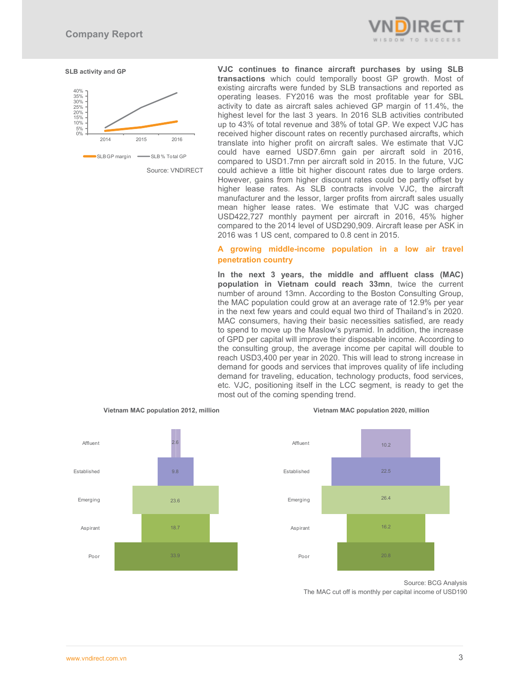



Source: VNDIRECT

**VJC continues to finance aircraft purchases by using SLB transactions** which could temporally boost GP growth. Most of existing aircrafts were funded by SLB transactions and reported as operating leases. FY2016 was the most profitable year for SBL activity to date as aircraft sales achieved GP margin of 11.4%, the highest level for the last 3 years. In 2016 SLB activities contributed up to 43% of total revenue and 38% of total GP. We expect VJC has received higher discount rates on recently purchased aircrafts, which translate into higher profit on aircraft sales. We estimate that VJC could have earned USD7.6mn gain per aircraft sold in 2016, compared to USD1.7mn per aircraft sold in 2015. In the future, VJC could achieve a little bit higher discount rates due to large orders. However, gains from higher discount rates could be partly offset by higher lease rates. As SLB contracts involve VJC, the aircraft manufacturer and the lessor, larger profits from aircraft sales usually mean higher lease rates. We estimate that VJC was charged USD422,727 monthly payment per aircraft in 2016, 45% higher compared to the 2014 level of USD290,909. Aircraft lease per ASK in 2016 was 1 US cent, compared to 0.8 cent in 2015.

# **A growing middle-income population in a low air travel penetration country**

**In the next 3 years, the middle and affluent class (MAC) population in Vietnam could reach 33mn**, twice the current number of around 13mn. According to the Boston Consulting Group, the MAC population could grow at an average rate of 12.9% per year in the next few years and could equal two third of Thailand's in 2020. MAC consumers, having their basic necessities satisfied, are ready to spend to move up the Maslow's pyramid. In addition, the increase of GPD per capital will improve their disposable income. According to the consulting group, the average income per capital will double to reach USD3,400 per year in 2020. This will lead to strong increase in demand for goods and services that improves quality of life including demand for traveling, education, technology products, food services, etc. VJC, positioning itself in the LCC segment, is ready to get the most out of the coming spending trend.



#### **Vietnam MAC population 2012, million Vietnam MAC population 2020, million**



Source: BCG Analysis The MAC cut off is monthly per capital income of USD190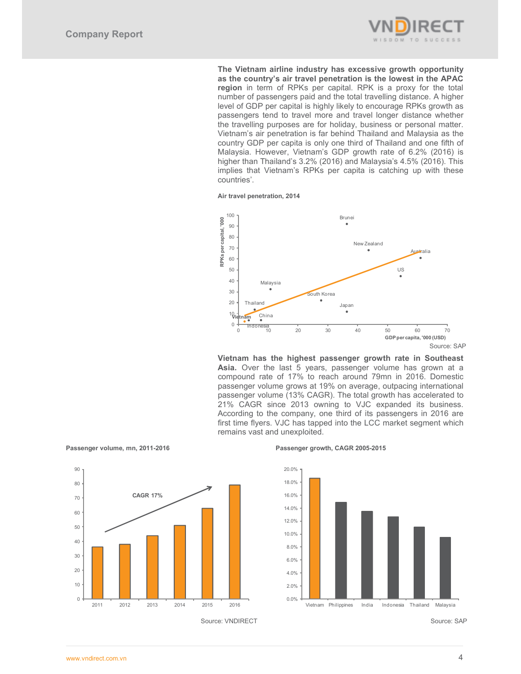

**The Vietnam airline industry has excessive growth opportunity as the country's air travel penetration is the lowest in the APAC region** in term of RPKs per capital. RPK is a proxy for the total number of passengers paid and the total travelling distance. A higher level of GDP per capital is highly likely to encourage RPKs growth as passengers tend to travel more and travel longer distance whether the travelling purposes are for holiday, business or personal matter. Vietnam's air penetration is far behind Thailand and Malaysia as the country GDP per capita is only one third of Thailand and one fifth of Malaysia. However, Vietnam's GDP growth rate of 6.2% (2016) is higher than Thailand's 3.2% (2016) and Malaysia's 4.5% (2016). This implies that Vietnam's RPKs per capita is catching up with these countries'.





**Vietnam has the highest passenger growth rate in Southeast Asia.** Over the last 5 years, passenger volume has grown at a compound rate of 17% to reach around 79mn in 2016. Domestic passenger volume grows at 19% on average, outpacing international passenger volume (13% CAGR). The total growth has accelerated to 21% CAGR since 2013 owning to VJC expanded its business. According to the company, one third of its passengers in 2016 are first time flyers. VJC has tapped into the LCC market segment which remains vast and unexploited.



Passenger volume, mn, 2011-2016 **Passenger growth, CAGR 2005-2015** 



Source: VNDIRECT Source: SAP

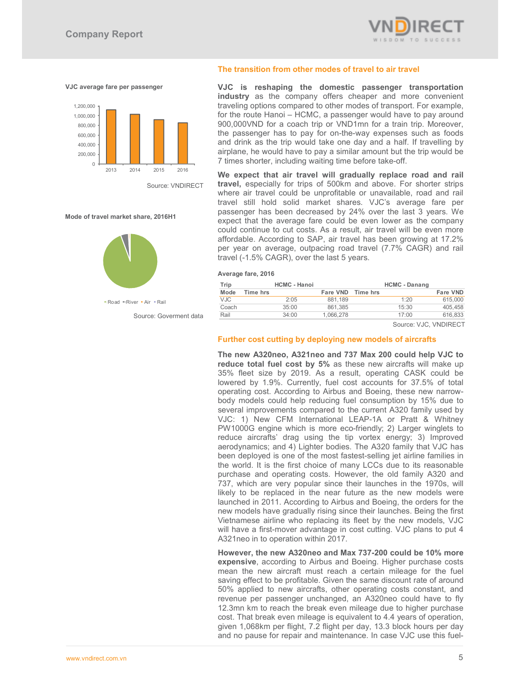

#### **VJC average fare per passenger**



Source: VNDIRECT

#### **Mode of travel market share, 2016H1**



Source: Goverment data

#### **The transition from other modes of travel to air travel**

**VJC is reshaping the domestic passenger transportation industry** as the company offers cheaper and more convenient traveling options compared to other modes of transport. For example, for the route Hanoi – HCMC, a passenger would have to pay around 900,000VND for a coach trip or VND1mn for a train trip. Moreover, the passenger has to pay for on-the-way expenses such as foods and drink as the trip would take one day and a half. If travelling by airplane, he would have to pay a similar amount but the trip would be 7 times shorter, including waiting time before take-off.

**We expect that air travel will gradually replace road and rail travel,** especially for trips of 500km and above. For shorter strips where air travel could be unprofitable or unavailable, road and rail travel still hold solid market shares. VJC's average fare per passenger has been decreased by 24% over the last 3 years. We expect that the average fare could be even lower as the company could continue to cut costs. As a result, air travel will be even more affordable. According to SAP, air travel has been growing at 17.2% per year on average, outpacing road travel (7.7% CAGR) and rail travel (-1.5% CAGR), over the last 5 years.

**Average fare, 2016** 

| Trip       |          | <b>HCMC - Hanoi</b> |                   | <b>HCMC - Danang</b> |          |
|------------|----------|---------------------|-------------------|----------------------|----------|
| Mode       | Time hrs |                     | Fare VND Time hrs |                      | Fare VND |
| <b>VJC</b> |          | 2:05                | 881.189           | 1:20                 | 615,000  |
| Coach      |          | 35:00               | 861.385           | 15:30                | 405.458  |
| Rail       |          | 34:00               | 1.066.278         | 17:00                | 616,833  |

Source: VJC, VNDIRECT

#### **Further cost cutting by deploying new models of aircrafts**

**The new A320neo, A321neo and 737 Max 200 could help VJC to reduce total fuel cost by 5%** as these new aircrafts will make up 35% fleet size by 2019. As a result, operating CASK could be lowered by 1.9%. Currently, fuel cost accounts for 37.5% of total operating cost. According to Airbus and Boeing, these new narrowbody models could help reducing fuel consumption by 15% due to several improvements compared to the current A320 family used by VJC: 1) New CFM International LEAP-1A or Pratt & Whitney PW1000G engine which is more eco-friendly; 2) Larger winglets to reduce aircrafts' drag using the tip vortex energy; 3) Improved aerodynamics; and 4) Lighter bodies. The A320 family that VJC has been deployed is one of the most fastest-selling jet airline families in the world. It is the first choice of many LCCs due to its reasonable purchase and operating costs. However, the old family A320 and 737, which are very popular since their launches in the 1970s, will likely to be replaced in the near future as the new models were launched in 2011. According to Airbus and Boeing, the orders for the new models have gradually rising since their launches. Being the first Vietnamese airline who replacing its fleet by the new models, VJC will have a first-mover advantage in cost cutting. VJC plans to put 4 A321neo in to operation within 2017.

**However, the new A320neo and Max 737-200 could be 10% more expensive**, according to Airbus and Boeing. Higher purchase costs mean the new aircraft must reach a certain mileage for the fuel saving effect to be profitable. Given the same discount rate of around 50% applied to new aircrafts, other operating costs constant, and revenue per passenger unchanged, an A320neo could have to fly 12.3mn km to reach the break even mileage due to higher purchase cost. That break even mileage is equivalent to 4.4 years of operation, given 1,068km per flight, 7.2 flight per day, 13.3 block hours per day and no pause for repair and maintenance. In case VJC use this fuel-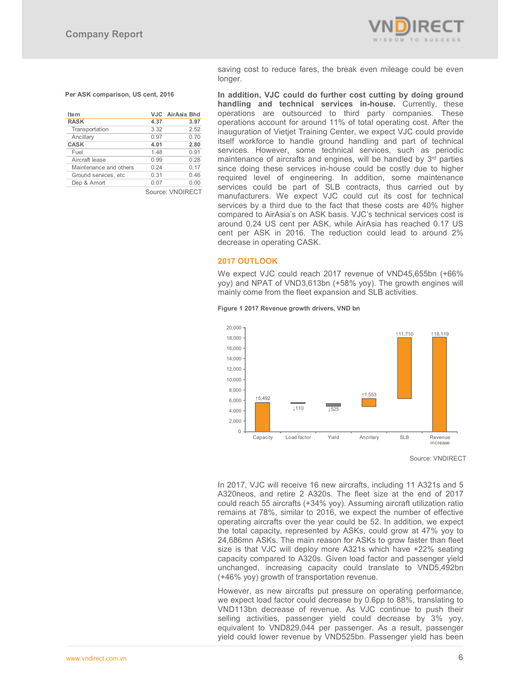

#### **Per ASK comparison, US cent, 2016**

| <b>Item</b>            |      | VJC AirAsia Bhd |
|------------------------|------|-----------------|
| <b>RASK</b>            | 4.37 | 3.97            |
| Transportation         | 3.32 | 2.52            |
| Ancillary              | 0.97 | 0.70            |
| <b>CASK</b>            | 4.01 | 2.80            |
| Fuel                   | 1.48 | 0.91            |
| Aircraft lease         | 0.99 | 0.28            |
| Maintenance and others | 0.24 | 0.17            |
| Ground services, etc.  | 0.31 | 0.46            |
| Dep & Amort            | 0.07 | 0.00            |
|                        |      |                 |

Source: VNDIRECT

saving cost to reduce fares, the break even mileage could be even longer.

**In addition, VJC could do further cost cutting by doing ground handling and technical services in-house.** Currently, these operations are outsourced to third party companies. These operations account for around 11% of total operating cost. After the inauguration of Vietjet Training Center, we expect VJC could provide itself workforce to handle ground handling and part of technical services. However, some technical services, such as periodic maintenance of aircrafts and engines, will be handled by 3<sup>rd</sup> parties since doing these services in-house could be costly due to higher required level of engineering. In addition, some maintenance services could be part of SLB contracts, thus carried out by manufacturers. We expect VJC could cut its cost for technical services by a third due to the fact that these costs are 40% higher compared to AirAsia's on ASK basis. VJC's technical services cost is around 0.24 US cent per ASK, while AirAsia has reached 0.17 US cent per ASK in 2016. The reduction could lead to around 2% decrease in operating CASK.

#### **2017 OUTLOOK**

We expect VJC could reach 2017 revenue of VND45,655bn (+66% yoy) and NPAT of VND3,613bn (+58% yoy). The growth engines will mainly come from the fleet expansion and SLB activities.

#### **Figure 1 2017 Revenue growth drivers, VND bn**



Source: VNDIRECT

In 2017, VJC will receive 16 new aircrafts, including 11 A321s and 5 A320neos, and retire 2 A320s. The fleet size at the end of 2017 could reach 55 aircrafts (+34% yoy). Assuming aircraft utilization ratio remains at 78%, similar to 2016, we expect the number of effective operating aircrafts over the year could be 52. In addition, we expect the total capacity, represented by ASKs, could grow at 47% yoy to 24,686mn ASKs. The main reason for ASKs to grow faster than fleet size is that VJC will deploy more A321s which have +22% seating capacity compared to A320s. Given load factor and passenger yield unchanged, increasing capacity could translate to VND5,492bn (+46% yoy) growth of transportation revenue.

However, as new aircrafts put pressure on operating performance, we expect load factor could decrease by 0.6pp to 88%, translating to VND113bn decrease of revenue. As VJC continue to push their selling activities, passenger yield could decrease by 3% yoy, equivalent to VND829,044 per passenger. As a result, passenger yield could lower revenue by VND525bn. Passenger yield has been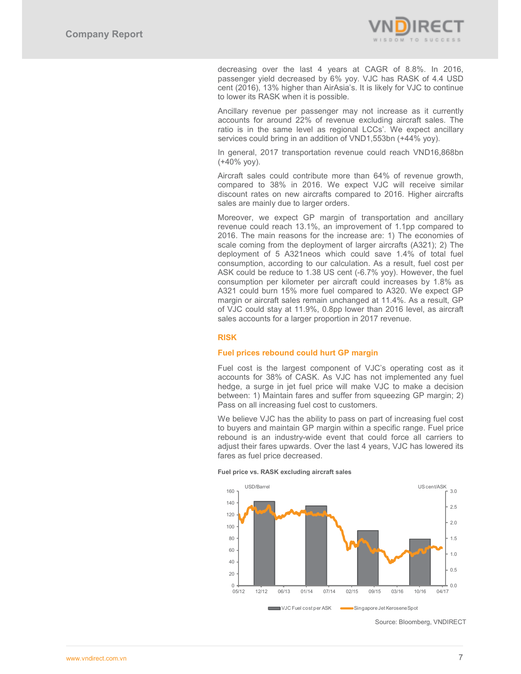

decreasing over the last 4 years at CAGR of 8.8%. In 2016, passenger yield decreased by 6% yoy. VJC has RASK of 4.4 USD cent (2016), 13% higher than AirAsia's. It is likely for VJC to continue to lower its RASK when it is possible.

Ancillary revenue per passenger may not increase as it currently accounts for around 22% of revenue excluding aircraft sales. The ratio is in the same level as regional LCCs'. We expect ancillary services could bring in an addition of VND1,553bn (+44% yoy).

In general, 2017 transportation revenue could reach VND16,868bn (+40% yoy).

Aircraft sales could contribute more than 64% of revenue growth, compared to 38% in 2016. We expect VJC will receive similar discount rates on new aircrafts compared to 2016. Higher aircrafts sales are mainly due to larger orders.

Moreover, we expect GP margin of transportation and ancillary revenue could reach 13.1%, an improvement of 1.1pp compared to 2016. The main reasons for the increase are: 1) The economies of scale coming from the deployment of larger aircrafts (A321); 2) The deployment of 5 A321neos which could save 1.4% of total fuel consumption, according to our calculation. As a result, fuel cost per ASK could be reduce to 1.38 US cent (-6.7% yoy). However, the fuel consumption per kilometer per aircraft could increases by 1.8% as A321 could burn 15% more fuel compared to A320. We expect GP margin or aircraft sales remain unchanged at 11.4%. As a result, GP of VJC could stay at 11.9%, 0.8pp lower than 2016 level, as aircraft sales accounts for a larger proportion in 2017 revenue.

# **RISK**

#### **Fuel prices rebound could hurt GP margin**

Fuel cost is the largest component of VJC's operating cost as it accounts for 38% of CASK. As VJC has not implemented any fuel hedge, a surge in jet fuel price will make VJC to make a decision between: 1) Maintain fares and suffer from squeezing GP margin; 2) Pass on all increasing fuel cost to customers.

We believe VJC has the ability to pass on part of increasing fuel cost to buyers and maintain GP margin within a specific range. Fuel price rebound is an industry-wide event that could force all carriers to adjust their fares upwards. Over the last 4 years, VJC has lowered its fares as fuel price decreased.



#### **Fuel price vs. RASK excluding aircraft sales**

Source: Bloomberg, VNDIRECT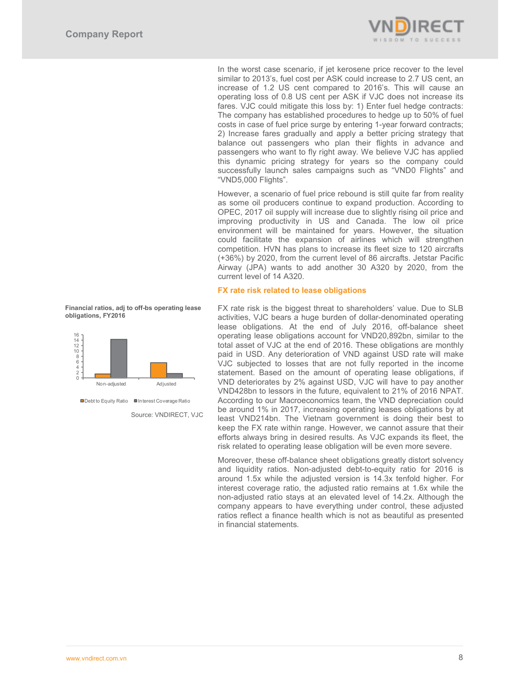

In the worst case scenario, if jet kerosene price recover to the level similar to 2013's, fuel cost per ASK could increase to 2.7 US cent, an increase of 1.2 US cent compared to 2016's. This will cause an operating loss of 0.8 US cent per ASK if VJC does not increase its fares. VJC could mitigate this loss by: 1) Enter fuel hedge contracts: The company has established procedures to hedge up to 50% of fuel costs in case of fuel price surge by entering 1-year forward contracts; 2) Increase fares gradually and apply a better pricing strategy that balance out passengers who plan their flights in advance and passengers who want to fly right away. We believe VJC has applied this dynamic pricing strategy for years so the company could successfully launch sales campaigns such as "VND0 Flights" and "VND5,000 Flights".

However, a scenario of fuel price rebound is still quite far from reality as some oil producers continue to expand production. According to OPEC, 2017 oil supply will increase due to slightly rising oil price and improving productivity in US and Canada. The low oil price environment will be maintained for years. However, the situation could facilitate the expansion of airlines which will strengthen competition. HVN has plans to increase its fleet size to 120 aircrafts (+36%) by 2020, from the current level of 86 aircrafts. Jetstar Pacific Airway (JPA) wants to add another 30 A320 by 2020, from the current level of 14 A320.

### **FX rate risk related to lease obligations**

FX rate risk is the biggest threat to shareholders' value. Due to SLB activities, VJC bears a huge burden of dollar-denominated operating lease obligations. At the end of July 2016, off-balance sheet operating lease obligations account for VND20,892bn, similar to the total asset of VJC at the end of 2016. These obligations are monthly paid in USD. Any deterioration of VND against USD rate will make VJC subjected to losses that are not fully reported in the income statement. Based on the amount of operating lease obligations, if VND deteriorates by 2% against USD, VJC will have to pay another VND428bn to lessors in the future, equivalent to 21% of 2016 NPAT. According to our Macroeconomics team, the VND depreciation could be around 1% in 2017, increasing operating leases obligations by at least VND214bn. The Vietnam government is doing their best to keep the FX rate within range. However, we cannot assure that their efforts always bring in desired results. As VJC expands its fleet, the risk related to operating lease obligation will be even more severe.

Moreover, these off-balance sheet obligations greatly distort solvency and liquidity ratios. Non-adjusted debt-to-equity ratio for 2016 is around 1.5x while the adjusted version is 14.3x tenfold higher. For interest coverage ratio, the adjusted ratio remains at 1.6x while the non-adjusted ratio stays at an elevated level of 14.2x. Although the company appears to have everything under control, these adjusted ratios reflect a finance health which is not as beautiful as presented in financial statements.





Source: VNDIRECT, VJC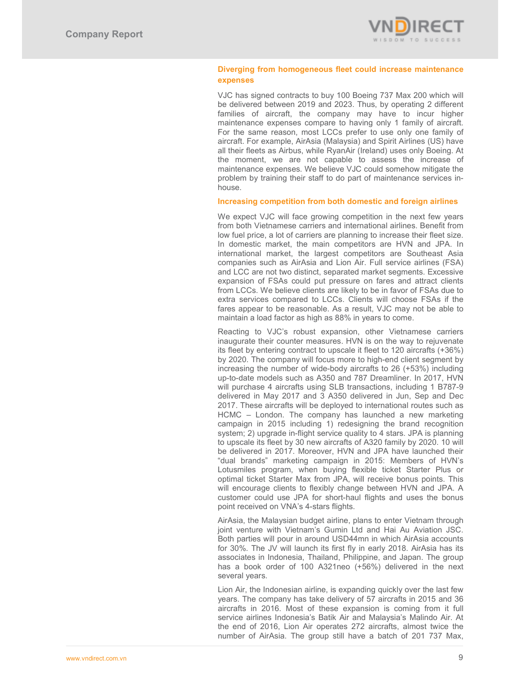

# **Diverging from homogeneous fleet could increase maintenance expenses**

VJC has signed contracts to buy 100 Boeing 737 Max 200 which will be delivered between 2019 and 2023. Thus, by operating 2 different families of aircraft, the company may have to incur higher maintenance expenses compare to having only 1 family of aircraft. For the same reason, most LCCs prefer to use only one family of aircraft. For example, AirAsia (Malaysia) and Spirit Airlines (US) have all their fleets as Airbus, while RyanAir (Ireland) uses only Boeing. At the moment, we are not capable to assess the increase of maintenance expenses. We believe VJC could somehow mitigate the problem by training their staff to do part of maintenance services inhouse.

### **Increasing competition from both domestic and foreign airlines**

We expect VJC will face growing competition in the next few years from both Vietnamese carriers and international airlines. Benefit from low fuel price, a lot of carriers are planning to increase their fleet size. In domestic market, the main competitors are HVN and JPA. In international market, the largest competitors are Southeast Asia companies such as AirAsia and Lion Air. Full service airlines (FSA) and LCC are not two distinct, separated market segments. Excessive expansion of FSAs could put pressure on fares and attract clients from LCCs. We believe clients are likely to be in favor of FSAs due to extra services compared to LCCs. Clients will choose FSAs if the fares appear to be reasonable. As a result, VJC may not be able to maintain a load factor as high as 88% in years to come.

Reacting to VJC's robust expansion, other Vietnamese carriers inaugurate their counter measures. HVN is on the way to rejuvenate its fleet by entering contract to upscale it fleet to 120 aircrafts (+36%) by 2020. The company will focus more to high-end client segment by increasing the number of wide-body aircrafts to 26 (+53%) including up-to-date models such as A350 and 787 Dreamliner. In 2017, HVN will purchase 4 aircrafts using SLB transactions, including 1 B787-9 delivered in May 2017 and 3 A350 delivered in Jun, Sep and Dec 2017. These aircrafts will be deployed to international routes such as HCMC – London. The company has launched a new marketing campaign in 2015 including 1) redesigning the brand recognition system; 2) upgrade in-flight service quality to 4 stars. JPA is planning to upscale its fleet by 30 new aircrafts of A320 family by 2020. 10 will be delivered in 2017. Moreover, HVN and JPA have launched their "dual brands" marketing campaign in 2015: Members of HVN's Lotusmiles program, when buying flexible ticket Starter Plus or optimal ticket Starter Max from JPA, will receive bonus points. This will encourage clients to flexibly change between HVN and JPA. A customer could use JPA for short-haul flights and uses the bonus point received on VNA's 4-stars flights.

AirAsia, the Malaysian budget airline, plans to enter Vietnam through joint venture with Vietnam's Gumin Ltd and Hai Au Aviation JSC. Both parties will pour in around USD44mn in which AirAsia accounts for 30%. The JV will launch its first fly in early 2018. AirAsia has its associates in Indonesia, Thailand, Philippine, and Japan. The group has a book order of 100 A321neo (+56%) delivered in the next several years.

Lion Air, the Indonesian airline, is expanding quickly over the last few years. The company has take delivery of 57 aircrafts in 2015 and 36 aircrafts in 2016. Most of these expansion is coming from it full service airlines Indonesia's Batik Air and Malaysia's Malindo Air. At the end of 2016, Lion Air operates 272 aircrafts, almost twice the number of AirAsia. The group still have a batch of 201 737 Max,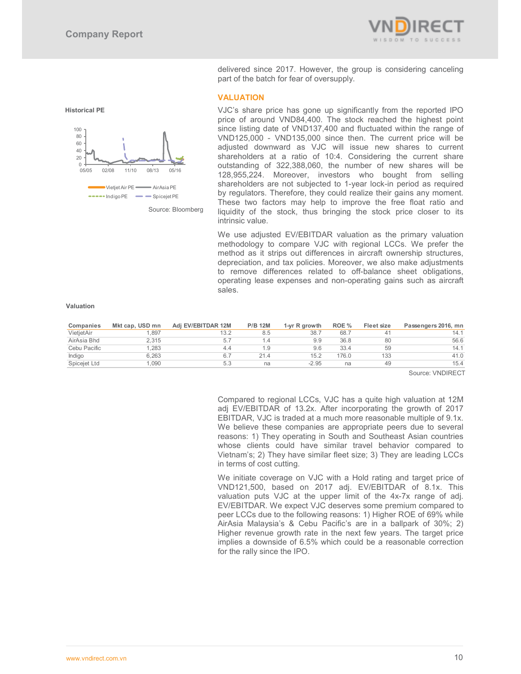

**Historical PE** 



Source: Bloomberg

delivered since 2017. However, the group is considering canceling part of the batch for fear of oversupply.

# **VALUATION**

VJC's share price has gone up significantly from the reported IPO price of around VND84,400. The stock reached the highest point since listing date of VND137,400 and fluctuated within the range of VND125,000 - VND135,000 since then. The current price will be adjusted downward as VJC will issue new shares to current shareholders at a ratio of 10:4. Considering the current share outstanding of 322,388,060, the number of new shares will be 128,955,224. Moreover, investors who bought from selling shareholders are not subjected to 1-year lock-in period as required by regulators. Therefore, they could realize their gains any moment. These two factors may help to improve the free float ratio and liquidity of the stock, thus bringing the stock price closer to its intrinsic value.

We use adjusted EV/EBITDAR valuation as the primary valuation methodology to compare VJC with regional LCCs. We prefer the method as it strips out differences in aircraft ownership structures, depreciation, and tax policies. Moreover, we also make adjustments to remove differences related to off-balance sheet obligations, operating lease expenses and non-operating gains such as aircraft sales.

#### **Valuation**

| Companies    | Mkt cap, USD mn | Adi EV/EBITDAR 12M | <b>P/B 12M</b>  | 1-yr R growth | ROE % | Fleet size     | Passengers 2016, mn |
|--------------|-----------------|--------------------|-----------------|---------------|-------|----------------|---------------------|
| VietietAir   | 1.897           | 13.2               | 8.5             | 38.7          | 68.7  | 4 <sup>1</sup> | 14.1                |
| AirAsia Bhd  | 2.315           | 5.1                |                 | 9.9           | 36.8  | 80             | 56.6                |
| Cebu Pacific | 1.283           | 4.4                | $\overline{.9}$ | 9.6           | 33.4  | 59             | 14.1                |
| Indigo       | 6.263           |                    | 21.4            | 15.2          | 176.0 | 133            | 41.0                |
| Spicejet Ltd | .090            | 5.3                | na              | $-2.95$       | na    | 49             | 15.4                |

Source: VNDIRECT

Compared to regional LCCs, VJC has a quite high valuation at 12M adj EV/EBITDAR of 13.2x. After incorporating the growth of 2017 EBITDAR, VJC is traded at a much more reasonable multiple of 9.1x. We believe these companies are appropriate peers due to several reasons: 1) They operating in South and Southeast Asian countries whose clients could have similar travel behavior compared to Vietnam's; 2) They have similar fleet size; 3) They are leading LCCs in terms of cost cutting.

We initiate coverage on VJC with a Hold rating and target price of VND121,500, based on 2017 adj. EV/EBITDAR of 8.1x. This valuation puts VJC at the upper limit of the 4x-7x range of adj. EV/EBITDAR. We expect VJC deserves some premium compared to peer LCCs due to the following reasons: 1) Higher ROE of 69% while AirAsia Malaysia's & Cebu Pacific's are in a ballpark of 30%; 2) Higher revenue growth rate in the next few years. The target price implies a downside of 6.5% which could be a reasonable correction for the rally since the IPO.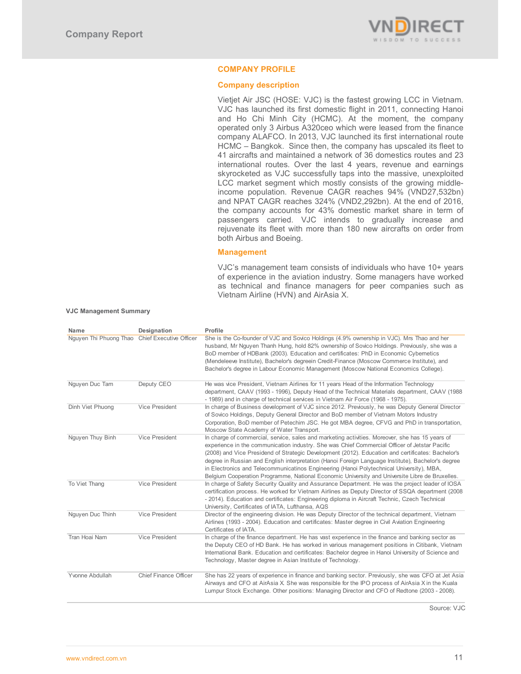

# **COMPANY PROFILE**

# **Company description**

Vietjet Air JSC (HOSE: VJC) is the fastest growing LCC in Vietnam. VJC has launched its first domestic flight in 2011, connecting Hanoi and Ho Chi Minh City (HCMC). At the moment, the company operated only 3 Airbus A320ceo which were leased from the finance company ALAFCO. In 2013, VJC launched its first international route HCMC – Bangkok. Since then, the company has upscaled its fleet to 41 aircrafts and maintained a network of 36 domestics routes and 23 international routes. Over the last 4 years, revenue and earnings skyrocketed as VJC successfully taps into the massive, unexploited LCC market segment which mostly consists of the growing middleincome population. Revenue CAGR reaches 94% (VND27,532bn) and NPAT CAGR reaches 324% (VND2,292bn). At the end of 2016, the company accounts for 43% domestic market share in term of passengers carried. VJC intends to gradually increase and rejuvenate its fleet with more than 180 new aircrafts on order from both Airbus and Boeing.

# **Management**

VJC's management team consists of individuals who have 10+ years of experience in the aviation industry. Some managers have worked as technical and finance managers for peer companies such as Vietnam Airline (HVN) and AirAsia X.

#### **VJC Management Summary**

| Name                                           | Designation                  | Profile                                                                                                                                                                                                                                                                                                                                                                                                                                                                                                                                                                                                   |
|------------------------------------------------|------------------------------|-----------------------------------------------------------------------------------------------------------------------------------------------------------------------------------------------------------------------------------------------------------------------------------------------------------------------------------------------------------------------------------------------------------------------------------------------------------------------------------------------------------------------------------------------------------------------------------------------------------|
| Nguyen Thi Phuong Thao Chief Executive Officer |                              | She is the Co-founder of VJC and Sovico Holdings (4.9% ownership in VJC). Mrs Thao and her<br>husband, Mr Nguyen Thanh Hung, hold 82% ownership of Sovico Holdings. Previously, she was a<br>BoD member of HDBank (2003). Education and certificates: PhD in Economic Cybernetics<br>(Mendeleeve Institute), Bachelor's degreein Credit-Finance (Moscow Commerce Institute), and<br>Bachelor's degree in Labour Economic Management (Moscow National Economics College).                                                                                                                                  |
| Nguyen Duc Tam                                 | Deputy CEO                   | He was vice President, Vietnam Airlines for 11 years Head of the Information Technology<br>department, CAAV (1993 - 1996), Deputy Head of the Technical Materials department, CAAV (1988<br>- 1989) and in charge of technical services in Vietnam Air Force (1968 - 1975).                                                                                                                                                                                                                                                                                                                               |
| Dinh Viet Phuong                               | Vice President               | In charge of Business development of VJC since 2012. Previously, he was Deputy General Director<br>of Sovico Holdings, Deputy General Director and BoD member of Vietnam Motors Industry<br>Corporation, BoD member of Petechim JSC. He got MBA degree, CFVG and PhD in transportation,<br>Moscow State Academy of Water Transport.                                                                                                                                                                                                                                                                       |
| Nguyen Thuy Binh                               | Vice President               | In charge of commercial, service, sales and marketing activities. Moreover, she has 15 years of<br>experience in the communication industry. She was Chief Commercial Officer of Jetstar Pacific<br>(2008) and Vice Presidend of Strategic Development (2012). Education and certificates: Bachelor's<br>degree in Russian and English interpretation (Hanoi Foreign Language Institute), Bachelor's degree<br>in Electronics and Telecommunicatinos Engineering (Hanoi Polytechnical University), MBA,<br>Belgium Cooperation Programme, National Economic University and Universite Libre de Bruxelles. |
| To Viet Thang                                  | Vice President               | In charge of Safety Security Quality and Assurance Department. He was the project leader of IOSA<br>certification process. He worked for Vietnam Airlines as Deputy Director of SSQA department (2008)<br>- 2014). Education and certificates: Engineering diploma in Aircraft Technic, Czech Technical<br>University, Certificates of IATA, Lufthansa, AQS                                                                                                                                                                                                                                               |
| Nguyen Duc Thinh                               | Vice President               | Director of the engineering division. He was Deputy Director of the technical department, Vietnam<br>Airlines (1993 - 2004). Education and certificates: Master degree in Civil Aviation Engineering<br>Certificates of IATA.                                                                                                                                                                                                                                                                                                                                                                             |
| Tran Hoai Nam                                  | Vice President               | In charge of the finance department. He has vast experience in the finance and banking sector as<br>the Deputy CEO of HD Bank. He has worked in various management positions in Citibank, Vietnam<br>International Bank. Education and certificates: Bachelor degree in Hanoi University of Science and<br>Technology, Master degree in Asian Institute of Technology.                                                                                                                                                                                                                                    |
| Yvonne Abdullah                                | <b>Chief Finance Officer</b> | She has 22 years of experience in finance and banking sector. Previously, she was CFO at Jet Asia<br>Airways and CFO at AirAsia X She was responsible for the IPO process of AirAsia X in the Kuala<br>Lumpur Stock Exchange. Other positions: Managing Director and CFO of Redtone (2003 - 2008).                                                                                                                                                                                                                                                                                                        |

Source: VJC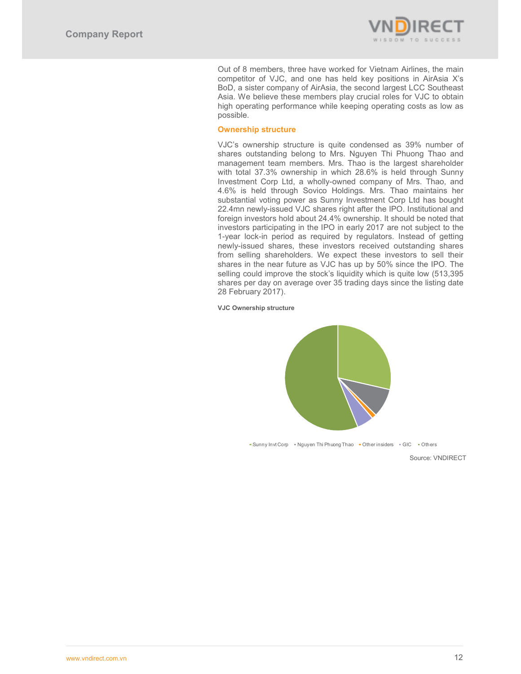

Out of 8 members, three have worked for Vietnam Airlines, the main competitor of VJC, and one has held key positions in AirAsia X's BoD, a sister company of AirAsia, the second largest LCC Southeast Asia. We believe these members play crucial roles for VJC to obtain high operating performance while keeping operating costs as low as possible.

# **Ownership structure**

VJC's ownership structure is quite condensed as 39% number of shares outstanding belong to Mrs. Nguyen Thi Phuong Thao and management team members. Mrs. Thao is the largest shareholder with total 37.3% ownership in which 28.6% is held through Sunny Investment Corp Ltd, a wholly-owned company of Mrs. Thao, and 4.6% is held through Sovico Holdings. Mrs. Thao maintains her substantial voting power as Sunny Investment Corp Ltd has bought 22.4mn newly-issued VJC shares right after the IPO. Institutional and foreign investors hold about 24.4% ownership. It should be noted that investors participating in the IPO in early 2017 are not subject to the 1-year lock-in period as required by regulators. Instead of getting newly-issued shares, these investors received outstanding shares from selling shareholders. We expect these investors to sell their shares in the near future as VJC has up by 50% since the IPO. The selling could improve the stock's liquidity which is quite low (513,395 shares per day on average over 35 trading days since the listing date 28 February 2017).

**VJC Ownership structure** 



■Sunny Invt Corp ■ Nguyen Thi Phuong Thao ■ Other insiders ■ GIC ■ Others

Source: VNDIRECT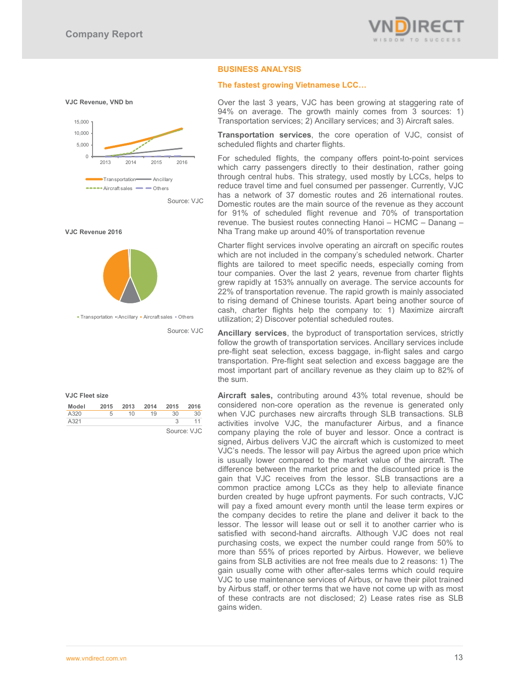



| <b>VJC Fleet size</b> |  |
|-----------------------|--|
|                       |  |

| Model | 2015 | 2013 | 2014 | 2015 | 2016        |
|-------|------|------|------|------|-------------|
| A320  | 5    | 10   | 19   | 30   | 30          |
| A321  |      |      |      |      |             |
|       |      |      |      |      | Source: VJC |

# **BUSINESS ANALYSIS**

# **The fastest growing Vietnamese LCC...**

Over the last 3 years, VJC has been growing at staggering rate of 94% on average. The growth mainly comes from 3 sources: 1) Transportation services; 2) Ancillary services; and 3) Aircraft sales.

**Transportation services**, the core operation of VJC, consist of scheduled flights and charter flights.

For scheduled flights, the company offers point-to-point services which carry passengers directly to their destination, rather going through central hubs. This strategy, used mostly by LCCs, helps to reduce travel time and fuel consumed per passenger. Currently, VJC has a network of 37 domestic routes and 26 international routes. Domestic routes are the main source of the revenue as they account for 91% of scheduled flight revenue and 70% of transportation revenue. The busiest routes connecting Hanoi – HCMC – Danang – Nha Trang make up around 40% of transportation revenue

Charter flight services involve operating an aircraft on specific routes which are not included in the company's scheduled network. Charter flights are tailored to meet specific needs, especially coming from tour companies. Over the last 2 years, revenue from charter flights grew rapidly at 153% annually on average. The service accounts for 22% of transportation revenue. The rapid growth is mainly associated to rising demand of Chinese tourists. Apart being another source of cash, charter flights help the company to: 1) Maximize aircraft utilization; 2) Discover potential scheduled routes.

**Ancillary services**, the byproduct of transportation services, strictly follow the growth of transportation services. Ancillary services include pre-flight seat selection, excess baggage, in-flight sales and cargo transportation. Pre-flight seat selection and excess baggage are the most important part of ancillary revenue as they claim up to 82% of the sum.

**Aircraft sales,** contributing around 43% total revenue, should be considered non-core operation as the revenue is generated only when VJC purchases new aircrafts through SLB transactions. SLB activities involve VJC, the manufacturer Airbus, and a finance company playing the role of buyer and lessor. Once a contract is signed, Airbus delivers VJC the aircraft which is customized to meet VJC's needs. The lessor will pay Airbus the agreed upon price which is usually lower compared to the market value of the aircraft. The difference between the market price and the discounted price is the gain that VJC receives from the lessor. SLB transactions are a common practice among LCCs as they help to alleviate finance burden created by huge upfront payments. For such contracts, VJC will pay a fixed amount every month until the lease term expires or the company decides to retire the plane and deliver it back to the lessor. The lessor will lease out or sell it to another carrier who is satisfied with second-hand aircrafts. Although VJC does not real purchasing costs, we expect the number could range from 50% to more than 55% of prices reported by Airbus. However, we believe gains from SLB activities are not free meals due to 2 reasons: 1) The gain usually come with other after-sales terms which could require VJC to use maintenance services of Airbus, or have their pilot trained by Airbus staff, or other terms that we have not come up with as most of these contracts are not disclosed; 2) Lease rates rise as SLB gains widen.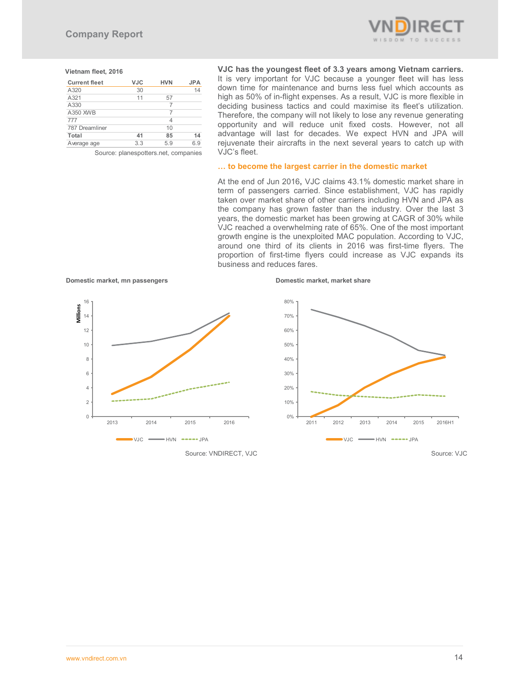

#### **Vietnam fleet, 2016**

| <b>Current fleet</b>                 | <b>VJC</b> | <b>HVN</b> | <b>JPA</b> |  |  |  |
|--------------------------------------|------------|------------|------------|--|--|--|
| A320                                 | 30         |            | 14         |  |  |  |
| A321                                 | 11         | 57         |            |  |  |  |
| A330                                 |            |            |            |  |  |  |
| A350 XWB                             |            | 7          |            |  |  |  |
| 777                                  |            | 4          |            |  |  |  |
| 787 Dreamliner                       |            | 10         |            |  |  |  |
| Total                                | 41         | 85         | 14         |  |  |  |
| Average age                          | 3.3        | 5.9        | 6.9        |  |  |  |
| Source: planespotters.net, companies |            |            |            |  |  |  |

**VJC has the youngest fleet of 3.3 years among Vietnam carriers.** It is very important for VJC because a younger fleet will has less down time for maintenance and burns less fuel which accounts as high as 50% of in-flight expenses. As a result, VJC is more flexible in deciding business tactics and could maximise its fleet's utilization. Therefore, the company will not likely to lose any revenue generating opportunity and will reduce unit fixed costs. However, not all advantage will last for decades. We expect HVN and JPA will rejuvenate their aircrafts in the next several years to catch up with VJC's fleet.

# ... to become the largest carrier in the domestic market

At the end of Jun 2016**,** VJC claims 43.1% domestic market share in term of passengers carried. Since establishment, VJC has rapidly taken over market share of other carriers including HVN and JPA as the company has grown faster than the industry. Over the last 3 years, the domestic market has been growing at CAGR of 30% while VJC reached a overwhelming rate of 65%. One of the most important growth engine is the unexploited MAC population. According to VJC, around one third of its clients in 2016 was first-time flyers. The proportion of first-time flyers could increase as VJC expands its business and reduces fares.

**Domestic market, mn passengers Domestic market, market share** 





Source: VNDIRECT, VJC Source: VNDIRECT, VJC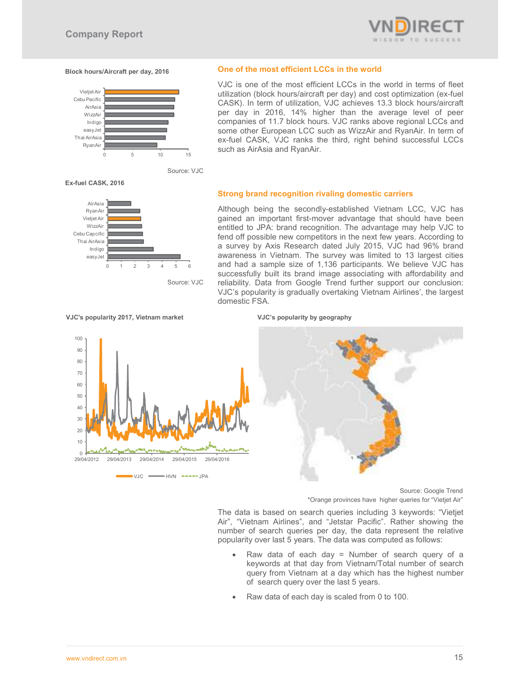

#### **Block hours/Aircraft per day, 2016**



Source: VJC

#### **Ex-fuel CASK, 2016**



Source: VJC

#### **One of the most efficient LCCs in the world**

VJC is one of the most efficient LCCs in the world in terms of fleet utilization (block hours/aircraft per day) and cost optimization (ex-fuel CASK). In term of utilization, VJC achieves 13.3 block hours/aircraft per day in 2016, 14% higher than the average level of peer companies of 11.7 block hours. VJC ranks above regional LCCs and some other European LCC such as WizzAir and RyanAir. In term of ex-fuel CASK, VJC ranks the third, right behind successful LCCs such as AirAsia and RyanAir.

### **Strong brand recognition rivaling domestic carriers**

Although being the secondly-established Vietnam LCC, VJC has gained an important first-mover advantage that should have been entitled to JPA: brand recognition. The advantage may help VJC to fend off possible new competitors in the next few years. According to a survey by Axis Research dated July 2015, VJC had 96% brand awareness in Vietnam. The survey was limited to 13 largest cities and had a sample size of 1,136 participants. We believe VJC has successfully built its brand image associating with affordability and reliability. Data from Google Trend further support our conclusion: VJC's popularity is gradually overtaking Vietnam Airlines', the largest domestic FSA.



 $\bullet$  VJC  $\rightarrow$  HVN  $\rightarrow$   $\rightarrow$  JPA



Source: Google Trend \*Orange provinces have higher queries for "Vietjet Air"

The data is based on search queries including 3 keywords: "Vietjet Air", "Vietnam Airlines", and "Jetstar Pacific". Rather showing the number of search queries per day, the data represent the relative popularity over last 5 years. The data was computed as follows:

- Raw data of each day  $=$  Number of search query of a keywords at that day from Vietnam/Total number of search query from Vietnam at a day which has the highest number of search query over the last 5 years.
- Raw data of each day is scaled from 0 to 100.

VJC's popularity 2017, Vietnam market VJC's popularity by geography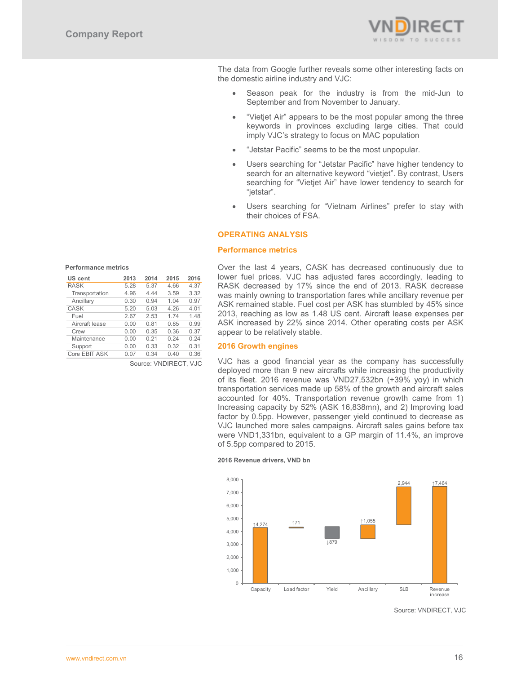

The data from Google further reveals some other interesting facts on the domestic airline industry and VJC:

- Season peak for the industry is from the mid-Jun to September and from November to January.
- "Vietjet Air" appears to be the most popular among the three keywords in provinces excluding large cities. That could imply VJC's strategy to focus on MAC population
- "Jetstar Pacific" seems to be the most unpopular.
- Users searching for "Jetstar Pacific" have higher tendency to search for an alternative keyword "vietjet". By contrast, Users searching for "Vietjet Air" have lower tendency to search for "jetstar".
- Users searching for "Vietnam Airlines" prefer to stay with their choices of FSA.

# **OPERATING ANALYSIS**

#### **Performance metrics**

Over the last 4 years, CASK has decreased continuously due to lower fuel prices. VJC has adjusted fares accordingly, leading to RASK decreased by 17% since the end of 2013. RASK decrease was mainly owning to transportation fares while ancillary revenue per ASK remained stable. Fuel cost per ASK has stumbled by 45% since 2013, reaching as low as 1.48 US cent. Aircraft lease expenses per ASK increased by 22% since 2014. Other operating costs per ASK appear to be relatively stable.

#### **2016 Growth engines**

VJC has a good financial year as the company has successfully deployed more than 9 new aircrafts while increasing the productivity of its fleet. 2016 revenue was VND27,532bn (+39% yoy) in which transportation services made up 58% of the growth and aircraft sales accounted for 40%. Transportation revenue growth came from 1) Increasing capacity by 52% (ASK 16,838mn), and 2) Improving load factor by 0.5pp. However, passenger yield continued to decrease as VJC launched more sales campaigns. Aircraft sales gains before tax were VND1,331bn, equivalent to a GP margin of 11.4%, an improve of 5.5pp compared to 2015.





Source: VNDIRECT, VJC

| US cent        | 2013 | 2014  | 2015 | 2016 |
|----------------|------|-------|------|------|
| <b>RASK</b>    | 5.28 | 5.37  | 4.66 | 4.37 |
| Transportation | 4.96 | 4 4 4 | 3.59 | 3.32 |
| Ancillary      | 0.30 | 0.94  | 1.04 | 0.97 |
| <b>CASK</b>    | 5.20 | 5.03  | 4.26 | 4.01 |
| Fuel           | 2.67 | 2.53  | 1.74 | 1.48 |
| Aircraft lease | 0.00 | 0.81  | 0.85 | 0.99 |
| Crew           | 0 OO | 0.35  | 0.36 | 0.37 |

Crew 0.00 0.35 0.36 0.37 Maintenance 0.00 0.21 0.24 0.24<br>Support 0.00 0.33 0.32 0.31

**Performance metrics** 

Support

Core EBIT ASK 0.07 0.34 0.40 0.36

Source: VNDIRECT, VJC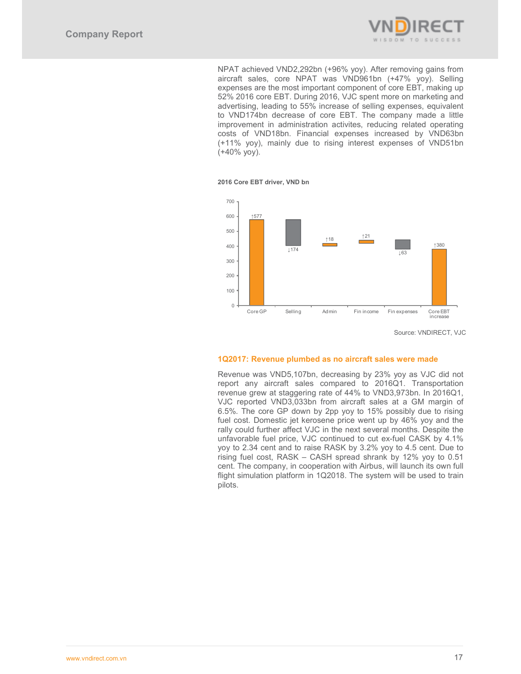

NPAT achieved VND2,292bn (+96% yoy). After removing gains from aircraft sales, core NPAT was VND961bn (+47% yoy). Selling expenses are the most important component of core EBT, making up 52% 2016 core EBT. During 2016, VJC spent more on marketing and advertising, leading to 55% increase of selling expenses, equivalent to VND174bn decrease of core EBT. The company made a little improvement in administration activites, reducing related operating costs of VND18bn. Financial expenses increased by VND63bn (+11% yoy), mainly due to rising interest expenses of VND51bn (+40% yoy).

**2016 Core EBT driver, VND bn** 



Source: VNDIRECT, VJC

#### **1Q2017: Revenue plumbed as no aircraft sales were made**

Revenue was VND5,107bn, decreasing by 23% yoy as VJC did not report any aircraft sales compared to 2016Q1. Transportation revenue grew at staggering rate of 44% to VND3,973bn. In 2016Q1, VJC reported VND3,033bn from aircraft sales at a GM margin of 6.5%. The core GP down by 2pp yoy to 15% possibly due to rising fuel cost. Domestic jet kerosene price went up by 46% yoy and the rally could further affect VJC in the next several months. Despite the unfavorable fuel price, VJC continued to cut ex-fuel CASK by 4.1% yoy to 2.34 cent and to raise RASK by 3.2% yoy to 4.5 cent. Due to rising fuel cost, RASK – CASH spread shrank by 12% yoy to 0.51 cent. The company, in cooperation with Airbus, will launch its own full flight simulation platform in 1Q2018. The system will be used to train pilots.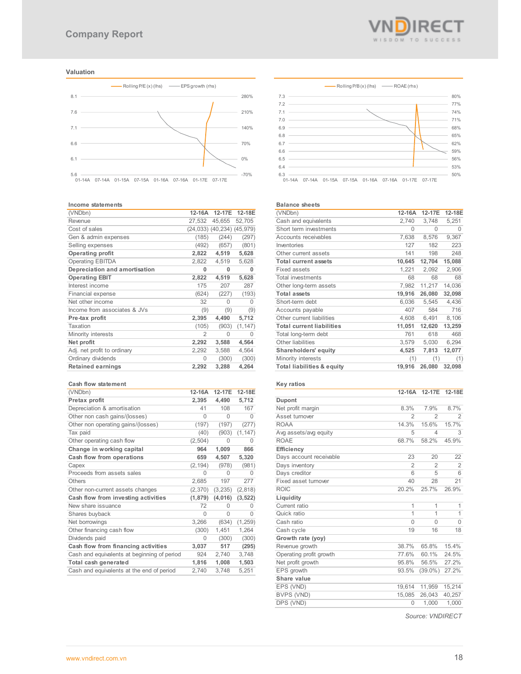# **Valuation**



#### **Income statements**

| (VNDbn)                       | 12-16A | 12-17E                     | 12-18E   |
|-------------------------------|--------|----------------------------|----------|
| Revenue                       | 27.532 | 45.655                     | 52,705   |
| Cost of sales                 |        | (24,033) (40,234) (45,979) |          |
| Gen & admin expenses          | (185)  | (244)                      | (297)    |
| Selling expenses              | (492)  | (657)                      | (801)    |
| Operating profit              | 2,822  | 4,519                      | 5,628    |
| <b>Operating EBITDA</b>       | 2,822  | 4,519                      | 5,628    |
| Depreciation and amortisation | 0      | 0                          | 0        |
| <b>Operating EBIT</b>         | 2,822  | 4,519                      | 5,628    |
| Interest income               | 175    | 207                        | 287      |
| Financial expense             | (624)  | (227)                      | (193)    |
| Net other income              | 32     | $\Omega$                   | 0        |
| Income from associates & JVs  | (9)    | (9)                        | (9)      |
| Pre-tax profit                | 2,395  | 4,490                      | 5,712    |
| Taxation                      | (105)  | (903)                      | (1, 147) |
| Minority interests            | 2      | 0                          | 0        |
| Net profit                    | 2,292  | 3,588                      | 4,564    |
| Adj. net profit to ordinary   | 2,292  | 3,588                      | 4,564    |
| Ordinary dividends            | 0      | (300)                      | (300)    |
| <b>Retained earnings</b>      | 2,292  | 3,288                      | 4,264    |

#### **Cash flow statement**

| (VNDbn)                                     | 12-16A   | 12-17E   | 12-18E   |
|---------------------------------------------|----------|----------|----------|
| Pretax profit                               | 2,395    | 4,490    | 5,712    |
| Depreciation & amortisation                 | 41       | 108      | 167      |
| Other non cash gains/(losses)               | 0        | $\Omega$ | 0        |
| Other non operating gains/(losses)          | (197)    | (197)    | (277)    |
| Tax paid                                    | (40)     | (903)    | (1, 147) |
| Other operating cash flow                   | (2, 504) | $\Omega$ | O        |
| Change in working capital                   | 964      | 1,009    | 866      |
| Cash flow from operations                   | 659      | 4,507    | 5,320    |
| Capex                                       | (2, 194) | (978)    | (981)    |
| Proceeds from assets sales                  | 0        | $\Omega$ | O        |
| <b>Others</b>                               | 2,685    | 197      | 277      |
| Other non-current assets changes            | (2,370)  | (3,235)  | (2, 818) |
| Cash flow from investing activities         | (1, 879) | (4,016)  | (3, 522) |
| New share issuance                          | 72       | $\Omega$ | 0        |
| Shares buyback                              | $\Omega$ | $\Omega$ | O        |
| Net borrowings                              | 3,266    | (634)    | (1, 259) |
| Other financing cash flow                   | (300)    | 1,451    | 1,264    |
| Dividends paid                              | 0        | (300)    | (300)    |
| Cash flow from financing activities         | 3,037    | 517      | (295)    |
| Cash and equivalents at beginning of period | 924      | 2,740    | 3,748    |
| Total cash generated                        | 1,816    | 1,008    | 1,503    |
| Cash and equivalents at the end of period   | 2,740    | 3,748    | 5,251    |



#### **Balance sheets**

| ратансе ытееты                   |        |        |        |
|----------------------------------|--------|--------|--------|
| (VNDbn)                          | 12-16A | 12-17E | 12-18E |
| Cash and equivalents             | 2,740  | 3,748  | 5,251  |
| Short term investments           | 0      | 0      | 0      |
| Accounts receivables             | 7,638  | 8,576  | 9,367  |
| Inventories                      | 127    | 182    | 223    |
| Other current assets             | 141    | 198    | 248    |
| <b>Total current assets</b>      | 10,645 | 12,704 | 15,088 |
| <b>Fixed assets</b>              | 1,221  | 2,092  | 2,906  |
| <b>Total investments</b>         | 68     | 68     | 68     |
| Other long-term assets           | 7,982  | 11,217 | 14,036 |
| <b>Total assets</b>              | 19,916 | 26,080 | 32,098 |
| Short-term debt                  | 6,036  | 5,545  | 4,436  |
| Accounts payable                 | 407    | 584    | 716    |
| Other current liabilities        | 4.608  | 6.491  | 8,106  |
| <b>Total current liabilities</b> | 11,051 | 12,620 | 13,259 |
| Total long-term debt             | 761    | 618    | 468    |
| Other liabilities                | 3,579  | 5,030  | 6,294  |
| Shareholders' equity             | 4,525  | 7,813  | 12,077 |
| Minority interests               | (1)    | (1)    | (1)    |
| Total liabilities & equity       | 19,916 | 26,080 | 32,098 |

#### **Key ratios**

|                         | 12-16A         | 12-17E         | 12-18E         |
|-------------------------|----------------|----------------|----------------|
| Dupont                  |                |                |                |
| Net profit margin       | 8.3%           | 7.9%           | 8.7%           |
| Asset turnover          | 2              | $\mathfrak{D}$ | 2              |
| <b>ROAA</b>             | 14.3%          | 15.6%          | 15.7%          |
| Avg assets/avg equity   | 5              | $\overline{4}$ | 3              |
| <b>ROAE</b>             | 68.7%          | 58.2%          | 45.9%          |
| Efficiency              |                |                |                |
| Days account receivable | 23             | 20             | 22             |
| Days inventory          | $\overline{2}$ | $\mathfrak{D}$ | $\overline{2}$ |
| Days creditor           | 6              | 5              | 6              |
| Fixed asset turnover    | 40             | 28             | 21             |
| <b>ROIC</b>             | 20.2%          | 25.7%          | 26.9%          |
| Liquidity               |                |                |                |
| Current ratio           | 1              | 1              | 1              |
| Quick ratio             | 1              | 1              | 1              |
| Cash ratio              | $\Omega$       | $\Omega$       | $\Omega$       |
| Cash cycle              | 19             | 16             | 18             |
| Growth rate (yoy)       |                |                |                |
| Revenue growth          | 38.7%          | 65.8%          | 15.4%          |
| Operating profit growth | 77.6%          | 60.1%          | 24.5%          |
| Net profit growth       | 95.8%          | 56.5%          | 27.2%          |
| EPS growth              | 93.5%          | $(39.0\%)$     | 27.2%          |
| Share value             |                |                |                |
| EPS (VND)               | 19,614         | 11,959         | 15,214         |
| <b>BVPS (VND)</b>       | 15,085         | 26,043         | 40,257         |
| DPS (VND)               | $\Omega$       | 1,000          | 1,000          |
|                         |                |                |                |

*Source: VNDIRECT*